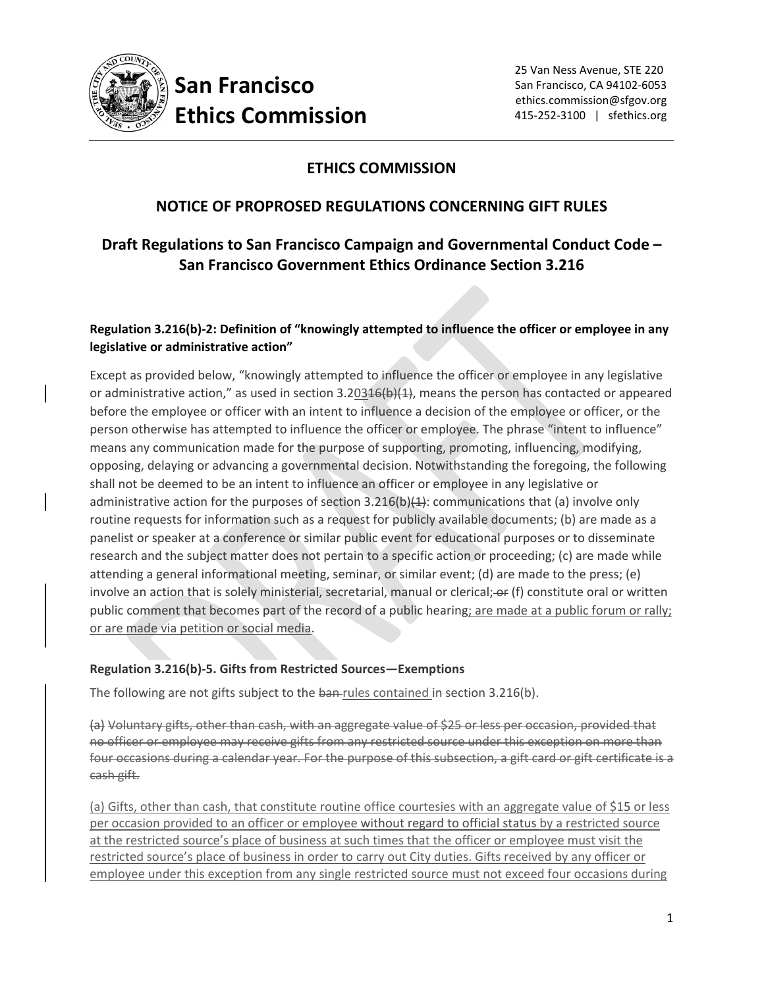

#### **ETHICS COMMISSION**

#### **NOTICE OF PROPROSED REGULATIONS CONCERNING GIFT RULES**

#### **Draft Regulations to San Francisco Campaign and Governmental Conduct Code – San Francisco Government Ethics Ordinance Section 3.216**

#### **Regulation 3.216(b)‐2: Definition of "knowingly attempted to influence the officer or employee in any legislative or administrative action"**

Except as provided below, "knowingly attempted to influence the officer or employee in any legislative or administrative action," as used in section  $3.20346(b)(4)$ , means the person has contacted or appeared before the employee or officer with an intent to influence a decision of the employee or officer, or the person otherwise has attempted to influence the officer or employee. The phrase "intent to influence" means any communication made for the purpose of supporting, promoting, influencing, modifying, opposing, delaying or advancing a governmental decision. Notwithstanding the foregoing, the following shall not be deemed to be an intent to influence an officer or employee in any legislative or administrative action for the purposes of section  $3.216(b)(1)$ : communications that (a) involve only routine requests for information such as a request for publicly available documents; (b) are made as a panelist or speaker at a conference or similar public event for educational purposes or to disseminate research and the subject matter does not pertain to a specific action or proceeding; (c) are made while attending a general informational meeting, seminar, or similar event; (d) are made to the press; (e) involve an action that is solely ministerial, secretarial, manual or clerical; or (f) constitute oral or written public comment that becomes part of the record of a public hearing; are made at a public forum or rally; or are made via petition or social media.

#### **Regulation 3.216(b)‐5. Gifts from Restricted Sources—Exemptions**

The following are not gifts subject to the ban-rules contained in section 3.216(b).

(a) Voluntary gifts, other than cash, with an aggregate value of \$25 or less per occasion, provided that no officer or employee may receive gifts from any restricted source under this exception on more than four occasions during a calendar year. For the purpose of this subsection, a gift card or gift certificate is a cash gift.

(a) Gifts, other than cash, that constitute routine office courtesies with an aggregate value of \$15 or less per occasion provided to an officer or employee without regard to official status by a restricted source at the restricted source's place of business at such times that the officer or employee must visit the restricted source's place of business in order to carry out City duties. Gifts received by any officer or employee under this exception from any single restricted source must not exceed four occasions during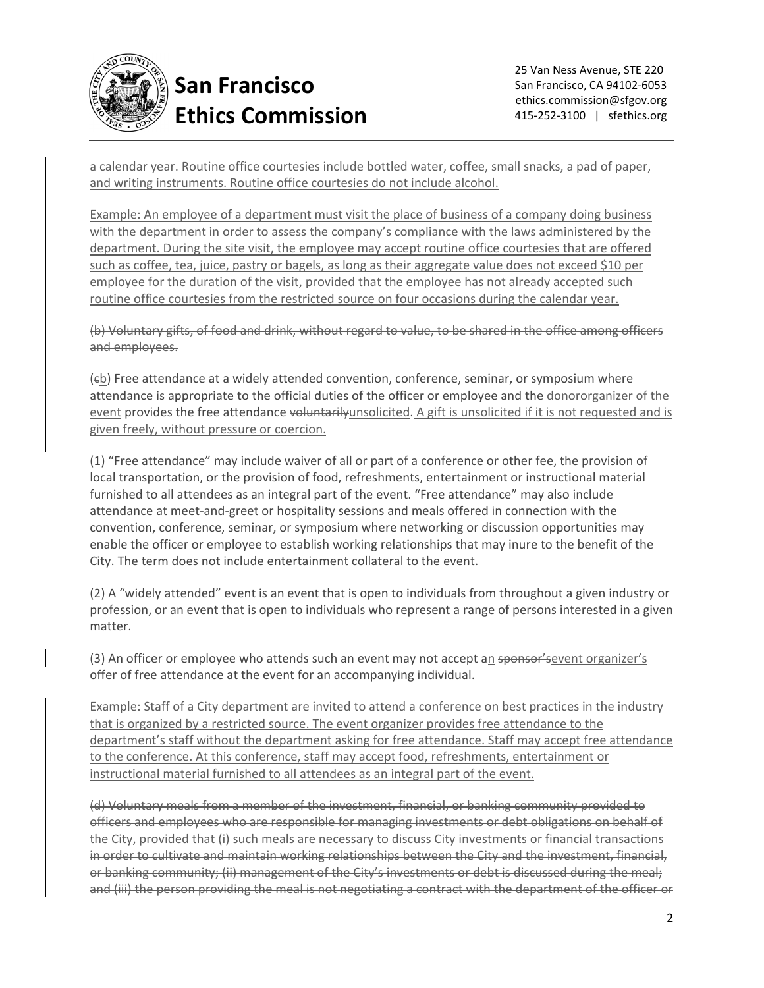

a calendar year. Routine office courtesies include bottled water, coffee, small snacks, a pad of paper, and writing instruments. Routine office courtesies do not include alcohol.

Example: An employee of a department must visit the place of business of a company doing business with the department in order to assess the company's compliance with the laws administered by the department. During the site visit, the employee may accept routine office courtesies that are offered such as coffee, tea, juice, pastry or bagels, as long as their aggregate value does not exceed \$10 per employee for the duration of the visit, provided that the employee has not already accepted such routine office courtesies from the restricted source on four occasions during the calendar year.

(b) Voluntary gifts, of food and drink, without regard to value, to be shared in the office among officers and employees.

(eb) Free attendance at a widely attended convention, conference, seminar, or symposium where attendance is appropriate to the official duties of the officer or employee and the donor-organizer of the event provides the free attendance voluntarilyunsolicited. A gift is unsolicited if it is not requested and is given freely, without pressure or coercion.

(1) "Free attendance" may include waiver of all or part of a conference or other fee, the provision of local transportation, or the provision of food, refreshments, entertainment or instructional material furnished to all attendees as an integral part of the event. "Free attendance" may also include attendance at meet‐and‐greet or hospitality sessions and meals offered in connection with the convention, conference, seminar, or symposium where networking or discussion opportunities may enable the officer or employee to establish working relationships that may inure to the benefit of the City. The term does not include entertainment collateral to the event.

(2) A "widely attended" event is an event that is open to individuals from throughout a given industry or profession, or an event that is open to individuals who represent a range of persons interested in a given matter.

(3) An officer or employee who attends such an event may not accept an sponsor's event organizer's offer of free attendance at the event for an accompanying individual.

Example: Staff of a City department are invited to attend a conference on best practices in the industry that is organized by a restricted source. The event organizer provides free attendance to the department's staff without the department asking for free attendance. Staff may accept free attendance to the conference. At this conference, staff may accept food, refreshments, entertainment or instructional material furnished to all attendees as an integral part of the event.

(d) Voluntary meals from a member of the investment, financial, or banking community provided to officers and employees who are responsible for managing investments or debt obligations on behalf of the City, provided that (i) such meals are necessary to discuss City investments or financial transactions in order to cultivate and maintain working relationships between the City and the investment, financial, or banking community; (ii) management of the City's investments or debt is discussed during the meal; and (iii) the person providing the meal is not negotiating a contract with the department of the officer or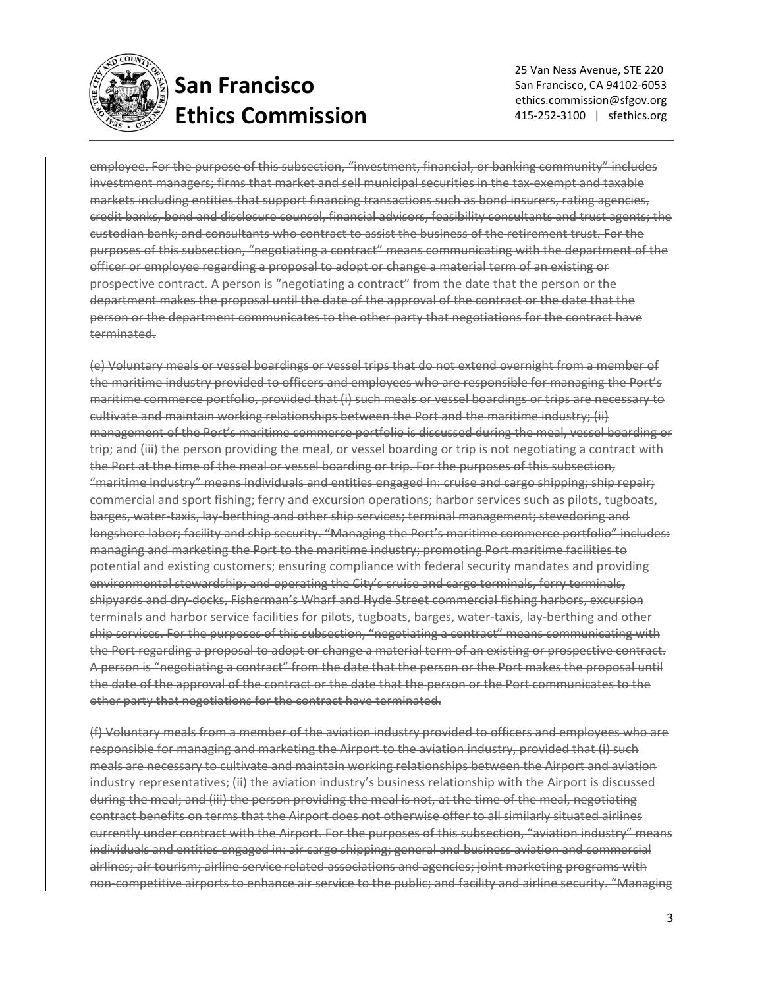

 25 Van Ness Avenue, STE 220 San Francisco, CA 94102‐6053 ethics.commission@sfgov.org 415‐252‐3100 | sfethics.org

employee. For the purpose of this subsection, "investment, financial, or banking community" includes investment managers; firms that market and sell municipal securities in the tax-exempt and taxable markets including entities that support financing transactions such as bond insurers, rating agencies, credit banks, bond and disclosure counsel, financial advisors, feasibility consultants and trust agents; the custodian bank; and consultants who contract to assist the business of the retirement trust. For the purposes of this subsection, "negotiating a contract" means communicating with the department of the officer or employee regarding a proposal to adopt or change a material term of an existing or prospective contract. A person is "negotiating a contract" from the date that the person or the department makes the proposal until the date of the approval of the contract or the date that the person or the department communicates to the other party that negotiations for the contract have terminated.

(e) Voluntary meals or vessel boardings or vessel trips that do not extend overnight from a member of the maritime industry provided to officers and employees who are responsible for managing the Port's maritime commerce portfolio, provided that (i) such meals or vessel boardings or trips are necessary to cultivate and maintain working relationships between the Port and the maritime industry; (ii) management of the Port's maritime commerce portfolio is discussed during the meal, vessel boarding or trip; and (iii) the person providing the meal, or vessel boarding or trip is not negotiating a contract with the Port at the time of the meal or vessel boarding or trip. For the purposes of this subsection, "maritime industry" means individuals and entities engaged in: cruise and cargo shipping; ship repair; commercial and sport fishing; ferry and excursion operations; harbor services such as pilots, tugboats, barges, water‐taxis, lay‐berthing and other ship services; terminal management; stevedoring and longshore labor; facility and ship security. "Managing the Port's maritime commerce portfolio" includes: managing and marketing the Port to the maritime industry; promoting Port maritime facilities to potential and existing customers; ensuring compliance with federal security mandates and providing environmental stewardship; and operating the City's cruise and cargo terminals, ferry terminals, shipyards and dry‐docks, Fisherman's Wharf and Hyde Street commercial fishing harbors, excursion terminals and harbor service facilities for pilots, tugboats, barges, water-taxis, lay-berthing and other ship services. For the purposes of this subsection, "negotiating a contract" means communicating with the Port regarding a proposal to adopt or change a material term of an existing or prospective contract. A person is "negotiating a contract" from the date that the person or the Port makes the proposal until the date of the approval of the contract or the date that the person or the Port communicates to the other party that negotiations for the contract have terminated.

(f) Voluntary meals from a member of the aviation industry provided to officers and employees who are responsible for managing and marketing the Airport to the aviation industry, provided that (i) such meals are necessary to cultivate and maintain working relationships between the Airport and aviation industry representatives; (ii) the aviation industry's business relationship with the Airport is discussed during the meal; and (iii) the person providing the meal is not, at the time of the meal, negotiating contract benefits on terms that the Airport does not otherwise offer to all similarly situated airlines currently under contract with the Airport. For the purposes of this subsection, "aviation industry" means individuals and entities engaged in: air cargo shipping; general and business aviation and commercial airlines; air tourism; airline service related associations and agencies; joint marketing programs with non‐competitive airports to enhance air service to the public; and facility and airline security. "Managing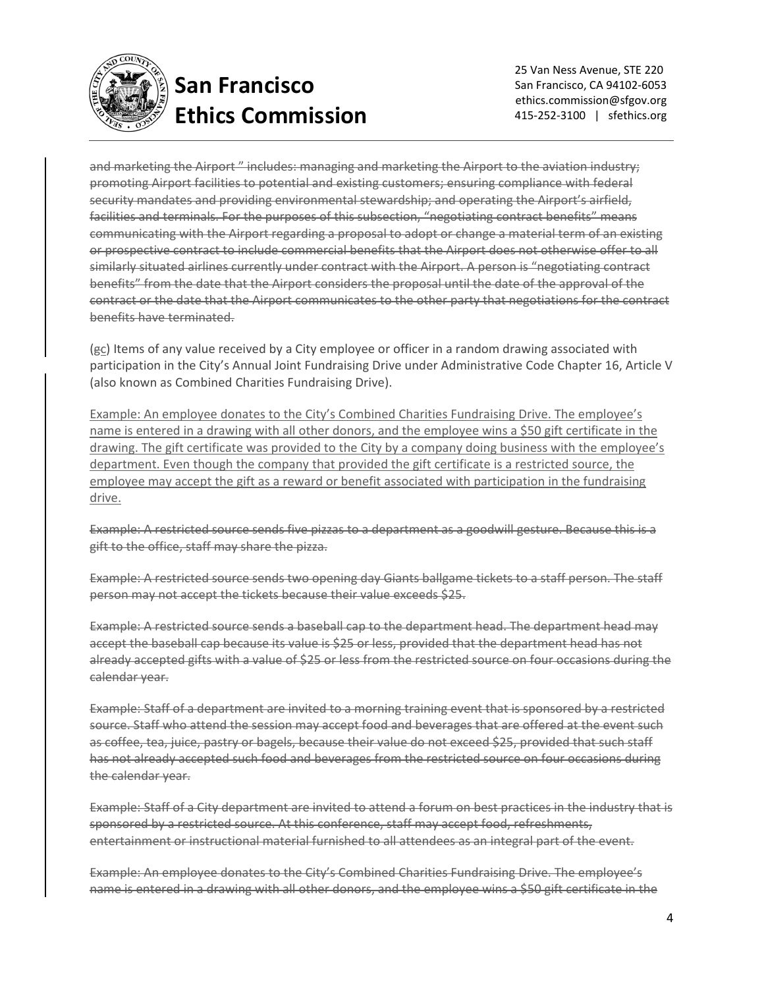

 25 Van Ness Avenue, STE 220 San Francisco, CA 94102‐6053 ethics.commission@sfgov.org 415-252-3100 | sfethics.org

and marketing the Airport " includes: managing and marketing the Airport to the aviation industry; promoting Airport facilities to potential and existing customers; ensuring compliance with federal security mandates and providing environmental stewardship; and operating the Airport's airfield, facilities and terminals. For the purposes of this subsection, "negotiating contract benefits" means communicating with the Airport regarding a proposal to adopt or change a material term of an existing or prospective contract to include commercial benefits that the Airport does not otherwise offer to all similarly situated airlines currently under contract with the Airport. A person is "negotiating contract benefits" from the date that the Airport considers the proposal until the date of the approval of the contract or the date that the Airport communicates to the other party that negotiations for the contract benefits have terminated.

(gc) Items of any value received by a City employee or officer in a random drawing associated with participation in the City's Annual Joint Fundraising Drive under Administrative Code Chapter 16, Article V (also known as Combined Charities Fundraising Drive).

Example: An employee donates to the City's Combined Charities Fundraising Drive. The employee's name is entered in a drawing with all other donors, and the employee wins a \$50 gift certificate in the drawing. The gift certificate was provided to the City by a company doing business with the employee's department. Even though the company that provided the gift certificate is a restricted source, the employee may accept the gift as a reward or benefit associated with participation in the fundraising drive.

Example: A restricted source sends five pizzas to a department as a goodwill gesture. Because this is a gift to the office, staff may share the pizza.

Example: A restricted source sends two opening day Giants ballgame tickets to a staff person. The staff person may not accept the tickets because their value exceeds \$25.

Example: A restricted source sends a baseball cap to the department head. The department head may accept the baseball cap because its value is \$25 or less, provided that the department head has not already accepted gifts with a value of \$25 or less from the restricted source on four occasions during the calendar year.

Example: Staff of a department are invited to a morning training event that is sponsored by a restricted source. Staff who attend the session may accept food and beverages that are offered at the event such as coffee, tea, juice, pastry or bagels, because their value do not exceed \$25, provided that such staff has not already accepted such food and beverages from the restricted source on four occasions during the calendar year.

Example: Staff of a City department are invited to attend a forum on best practices in the industry that is sponsored by a restricted source. At this conference, staff may accept food, refreshments, entertainment or instructional material furnished to all attendees as an integral part of the event.

Example: An employee donates to the City's Combined Charities Fundraising Drive. The employee's name is entered in a drawing with all other donors, and the employee wins a \$50 gift certificate in the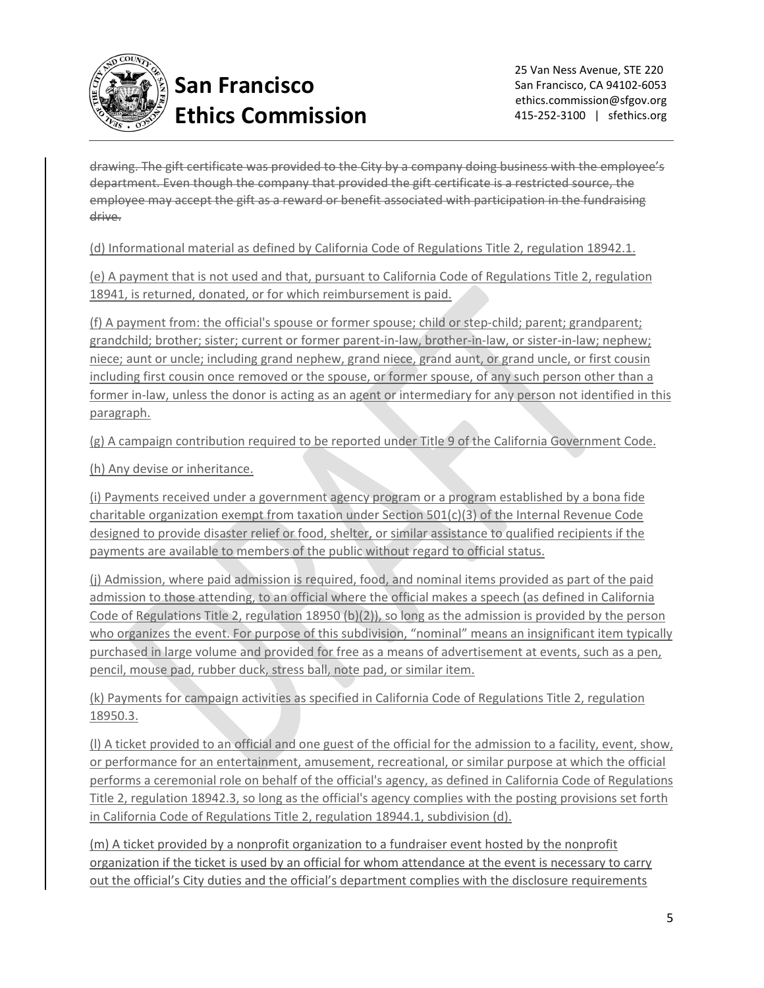

drawing. The gift certificate was provided to the City by a company doing business with the employee's department. Even though the company that provided the gift certificate is a restricted source, the employee may accept the gift as a reward or benefit associated with participation in the fundraising drive.

(d) Informational material as defined by California Code of Regulations Title 2, regulation 18942.1.

(e) A payment that is not used and that, pursuant to California Code of Regulations Title 2, regulation 18941, is returned, donated, or for which reimbursement is paid.

(f) A payment from: the official's spouse or former spouse; child or step-child; parent; grandparent; grandchild; brother; sister; current or former parent‐in‐law, brother‐in‐law, or sister‐in‐law; nephew; niece; aunt or uncle; including grand nephew, grand niece, grand aunt, or grand uncle, or first cousin including first cousin once removed or the spouse, or former spouse, of any such person other than a former in-law, unless the donor is acting as an agent or intermediary for any person not identified in this paragraph.

(g) A campaign contribution required to be reported under Title 9 of the California Government Code.

(h) Any devise or inheritance.

(i) Payments received under a government agency program or a program established by a bona fide charitable organization exempt from taxation under Section 501(c)(3) of the Internal Revenue Code designed to provide disaster relief or food, shelter, or similar assistance to qualified recipients if the payments are available to members of the public without regard to official status.

(j) Admission, where paid admission is required, food, and nominal items provided as part of the paid admission to those attending, to an official where the official makes a speech (as defined in California Code of Regulations Title 2, regulation 18950 (b)(2)), so long as the admission is provided by the person who organizes the event. For purpose of this subdivision, "nominal" means an insignificant item typically purchased in large volume and provided for free as a means of advertisement at events, such as a pen, pencil, mouse pad, rubber duck, stress ball, note pad, or similar item.

(k) Payments for campaign activities as specified in California Code of Regulations Title 2, regulation 18950.3.

(l) A ticket provided to an official and one guest of the official for the admission to a facility, event, show, or performance for an entertainment, amusement, recreational, or similar purpose at which the official performs a ceremonial role on behalf of the official's agency, as defined in California Code of Regulations Title 2, regulation 18942.3, so long as the official's agency complies with the posting provisions set forth in California Code of Regulations Title 2, regulation 18944.1, subdivision (d).

(m) A ticket provided by a nonprofit organization to a fundraiser event hosted by the nonprofit organization if the ticket is used by an official for whom attendance at the event is necessary to carry out the official's City duties and the official's department complies with the disclosure requirements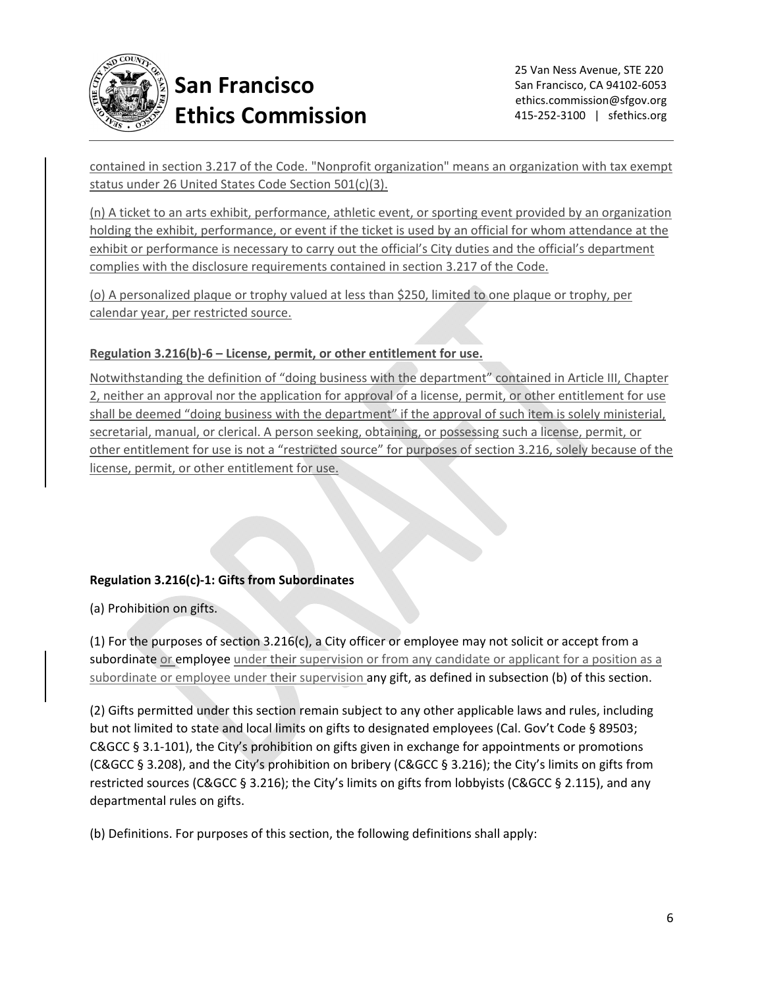

contained in section 3.217 of the Code. "Nonprofit organization" means an organization with tax exempt status under 26 United States Code Section 501(c)(3).

(n) A ticket to an arts exhibit, performance, athletic event, or sporting event provided by an organization holding the exhibit, performance, or event if the ticket is used by an official for whom attendance at the exhibit or performance is necessary to carry out the official's City duties and the official's department complies with the disclosure requirements contained in section 3.217 of the Code.

(o) A personalized plaque or trophy valued at less than \$250, limited to one plaque or trophy, per calendar year, per restricted source.

#### **Regulation 3.216(b)‐6 – License, permit, or other entitlement for use.**

Notwithstanding the definition of "doing business with the department" contained in Article III, Chapter 2, neither an approval nor the application for approval of a license, permit, or other entitlement for use shall be deemed "doing business with the department" if the approval of such item is solely ministerial, secretarial, manual, or clerical. A person seeking, obtaining, or possessing such a license, permit, or other entitlement for use is not a "restricted source" for purposes of section 3.216, solely because of the license, permit, or other entitlement for use.

#### **Regulation 3.216(c)‐1: Gifts from Subordinates**

(a) Prohibition on gifts.

(1) For the purposes of section 3.216(c), a City officer or employee may not solicit or accept from a subordinate or employee under their supervision or from any candidate or applicant for a position as a subordinate or employee under their supervision any gift, as defined in subsection (b) of this section.

(2) Gifts permitted under this section remain subject to any other applicable laws and rules, including but not limited to state and local limits on gifts to designated employees (Cal. Gov't Code § 89503; C&GCC § 3.1‐101), the City's prohibition on gifts given in exchange for appointments or promotions (C&GCC § 3.208), and the City's prohibition on bribery (C&GCC § 3.216); the City's limits on gifts from restricted sources (C&GCC § 3.216); the City's limits on gifts from lobbyists (C&GCC § 2.115), and any departmental rules on gifts.

(b) Definitions. For purposes of this section, the following definitions shall apply: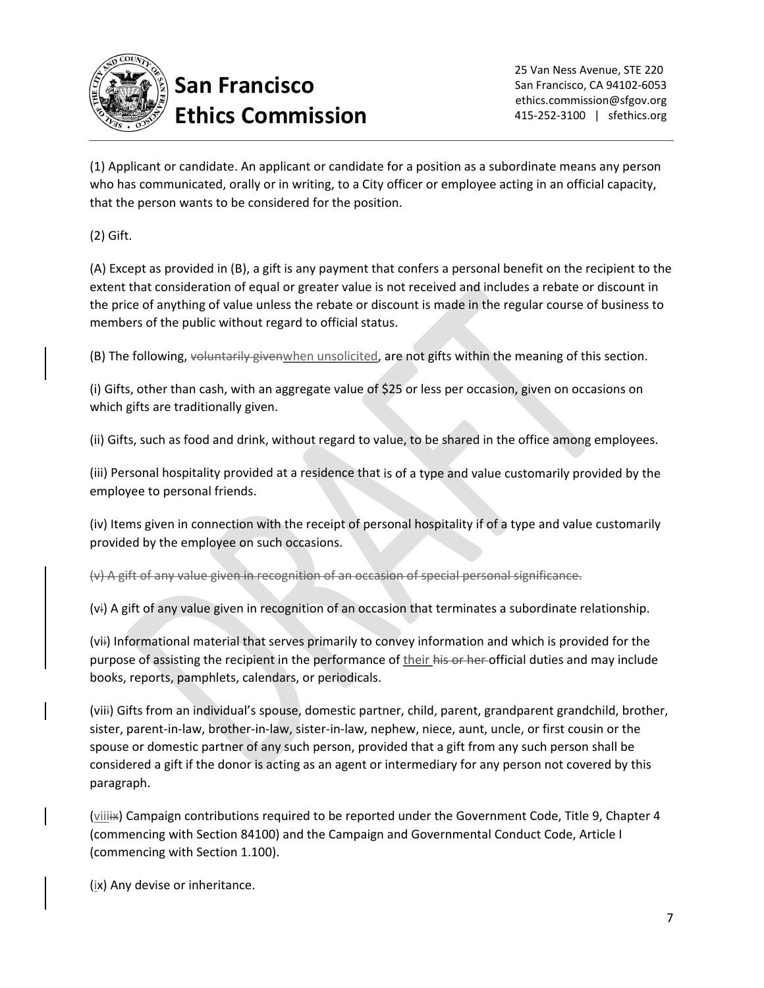

(1) Applicant or candidate. An applicant or candidate for a position as a subordinate means any person who has communicated, orally or in writing, to a City officer or employee acting in an official capacity, that the person wants to be considered for the position.

(2) Gift.

(A) Except as provided in (B), a gift is any payment that confers a personal benefit on the recipient to the extent that consideration of equal or greater value is not received and includes a rebate or discount in the price of anything of value unless the rebate or discount is made in the regular course of business to members of the public without regard to official status.

(B) The following, voluntarily givenwhen unsolicited, are not gifts within the meaning of this section.

(i) Gifts, other than cash, with an aggregate value of \$25 or less per occasion, given on occasions on which gifts are traditionally given.

(ii) Gifts, such as food and drink, without regard to value, to be shared in the office among employees.

(iii) Personal hospitality provided at a residence that is of a type and value customarily provided by the employee to personal friends.

(iv) Items given in connection with the receipt of personal hospitality if of a type and value customarily provided by the employee on such occasions.

(v) A gift of any value given in recognition of an occasion of special personal significance.

(vi) A gift of any value given in recognition of an occasion that terminates a subordinate relationship.

(vii) Informational material that serves primarily to convey information and which is provided for the purpose of assisting the recipient in the performance of their his or her official duties and may include books, reports, pamphlets, calendars, or periodicals.

(viii) Gifts from an individual's spouse, domestic partner, child, parent, grandparent grandchild, brother, sister, parent-in-law, brother-in-law, sister-in-law, nephew, niece, aunt, uncle, or first cousin or the spouse or domestic partner of any such person, provided that a gift from any such person shall be considered a gift if the donor is acting as an agent or intermediary for any person not covered by this paragraph.

(viiiix) Campaign contributions required to be reported under the Government Code, Title 9, Chapter 4 (commencing with Section 84100) and the Campaign and Governmental Conduct Code, Article I (commencing with Section 1.100).

(ix) Any devise or inheritance.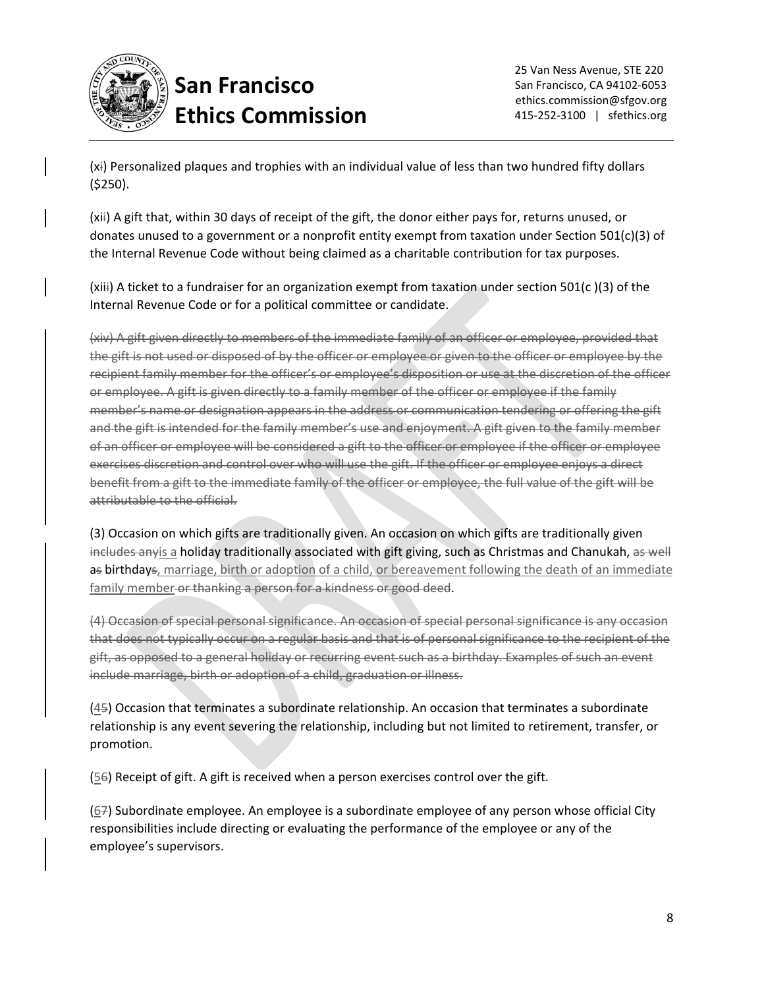

(xi) Personalized plaques and trophies with an individual value of less than two hundred fifty dollars (\$250).

(xii) A gift that, within 30 days of receipt of the gift, the donor either pays for, returns unused, or donates unused to a government or a nonprofit entity exempt from taxation under Section 501(c)(3) of the Internal Revenue Code without being claimed as a charitable contribution for tax purposes.

(xiii) A ticket to a fundraiser for an organization exempt from taxation under section 501(c )(3) of the Internal Revenue Code or for a political committee or candidate.

(xiv) A gift given directly to members of the immediate family of an officer or employee, provided that the gift is not used or disposed of by the officer or employee or given to the officer or employee by the recipient family member for the officer's or employee's disposition or use at the discretion of the officer or employee. A gift is given directly to a family member of the officer or employee if the family member's name or designation appears in the address or communication tendering or offering the gift and the gift is intended for the family member's use and enjoyment. A gift given to the family member of an officer or employee will be considered a gift to the officer or employee if the officer or employee exercises discretion and control over who will use the gift. If the officer or employee enjoys a direct benefit from a gift to the immediate family of the officer or employee, the full value of the gift will be attributable to the official.

(3) Occasion on which gifts are traditionally given. An occasion on which gifts are traditionally given includes anyis a holiday traditionally associated with gift giving, such as Christmas and Chanukah, as well as birthdays, marriage, birth or adoption of a child, or bereavement following the death of an immediate family member or thanking a person for a kindness or good deed.

(4) Occasion of special personal significance. An occasion of special personal significance is any occasion that does not typically occur on a regular basis and that is of personal significance to the recipient of the gift, as opposed to a general holiday or recurring event such as a birthday. Examples of such an event include marriage, birth or adoption of a child, graduation or illness.

(45) Occasion that terminates a subordinate relationship. An occasion that terminates a subordinate relationship is any event severing the relationship, including but not limited to retirement, transfer, or promotion.

 $(56)$  Receipt of gift. A gift is received when a person exercises control over the gift.

(67) Subordinate employee. An employee is a subordinate employee of any person whose official City responsibilities include directing or evaluating the performance of the employee or any of the employee's supervisors.